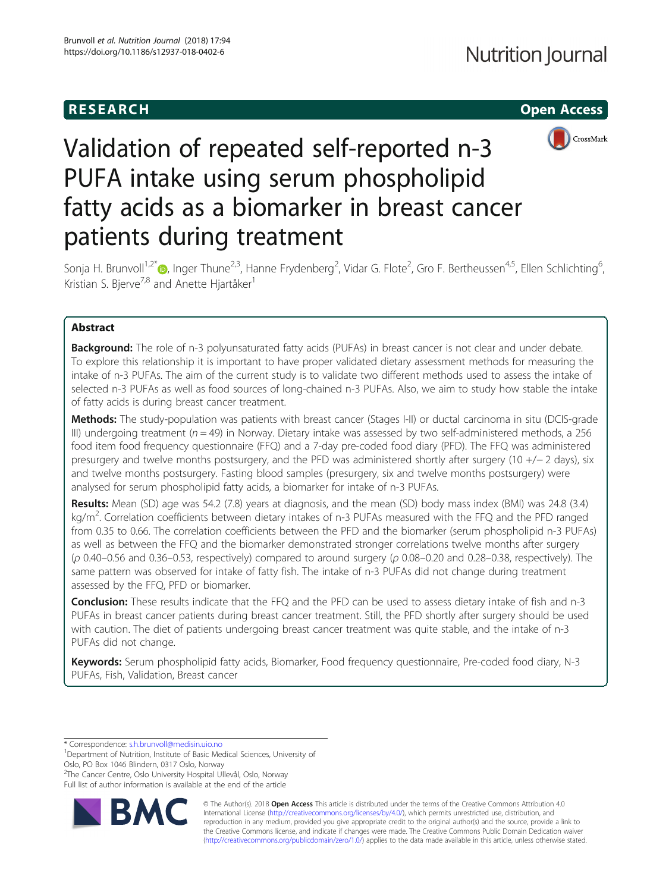# **RESEARCH CHILD CONTROL** CONTROL CONTROL CONTROL CONTROL CONTROL CONTROL CONTROL CONTROL CONTROL CONTROL CONTROL CONTROL CONTROL CONTROL CONTROL CONTROL CONTROL CONTROL CONTROL CONTROL CONTROL CONTROL CONTROL CONTROL CONTR



# Validation of repeated self-reported n-3 PUFA intake using serum phospholipid fatty acids as a biomarker in breast cancer patients during treatment

Sonja H. Brunvoll<sup>1[,](http://orcid.org/0000-0003-0917-9898)2\*</sup>®, Inger Thune<sup>2,3</sup>, Hanne Frydenberg<sup>2</sup>, Vidar G. Flote<sup>2</sup>, Gro F. Bertheussen<sup>4,5</sup>, Ellen Schlichting<sup>6</sup> , Kristian S. Bjerve<sup>7,8</sup> and Anette Hjartåker<sup>1</sup>

# Abstract

**Background:** The role of n-3 polyunsaturated fatty acids (PUFAs) in breast cancer is not clear and under debate. To explore this relationship it is important to have proper validated dietary assessment methods for measuring the intake of n-3 PUFAs. The aim of the current study is to validate two different methods used to assess the intake of selected n-3 PUFAs as well as food sources of long-chained n-3 PUFAs. Also, we aim to study how stable the intake of fatty acids is during breast cancer treatment.

Methods: The study-population was patients with breast cancer (Stages I-II) or ductal carcinoma in situ (DCIS-grade III) undergoing treatment ( $n = 49$ ) in Norway. Dietary intake was assessed by two self-administered methods, a 256 food item food frequency questionnaire (FFQ) and a 7-day pre-coded food diary (PFD). The FFQ was administered presurgery and twelve months postsurgery, and the PFD was administered shortly after surgery (10 +/− 2 days), six and twelve months postsurgery. Fasting blood samples (presurgery, six and twelve months postsurgery) were analysed for serum phospholipid fatty acids, a biomarker for intake of n-3 PUFAs.

Results: Mean (SD) age was 54.2 (7.8) years at diagnosis, and the mean (SD) body mass index (BMI) was 24.8 (3.4) kg/m<sup>2</sup>. Correlation coefficients between dietary intakes of n-3 PUFAs measured with the FFQ and the PFD ranged from 0.35 to 0.66. The correlation coefficients between the PFD and the biomarker (serum phospholipid n-3 PUFAs) as well as between the FFQ and the biomarker demonstrated stronger correlations twelve months after surgery (ρ 0.40–0.56 and 0.36–0.53, respectively) compared to around surgery (ρ 0.08–0.20 and 0.28–0.38, respectively). The same pattern was observed for intake of fatty fish. The intake of n-3 PUFAs did not change during treatment assessed by the FFQ, PFD or biomarker.

Conclusion: These results indicate that the FFQ and the PFD can be used to assess dietary intake of fish and n-3 PUFAs in breast cancer patients during breast cancer treatment. Still, the PFD shortly after surgery should be used with caution. The diet of patients undergoing breast cancer treatment was quite stable, and the intake of n-3 PUFAs did not change.

Keywords: Serum phospholipid fatty acids, Biomarker, Food frequency questionnaire, Pre-coded food diary, N-3 PUFAs, Fish, Validation, Breast cancer

\* Correspondence: [s.h.brunvoll@medisin.uio.no](mailto:s.h.brunvoll@medisin.uio.no) <sup>1</sup>

<sup>1</sup>Department of Nutrition, Institute of Basic Medical Sciences, University of Oslo, PO Box 1046 Blindern, 0317 Oslo, Norway

<sup>2</sup>The Cancer Centre, Oslo University Hospital Ullevål, Oslo, Norway

Full list of author information is available at the end of the article



© The Author(s). 2018 Open Access This article is distributed under the terms of the Creative Commons Attribution 4.0 International License [\(http://creativecommons.org/licenses/by/4.0/](http://creativecommons.org/licenses/by/4.0/)), which permits unrestricted use, distribution, and reproduction in any medium, provided you give appropriate credit to the original author(s) and the source, provide a link to the Creative Commons license, and indicate if changes were made. The Creative Commons Public Domain Dedication waiver [\(http://creativecommons.org/publicdomain/zero/1.0/](http://creativecommons.org/publicdomain/zero/1.0/)) applies to the data made available in this article, unless otherwise stated.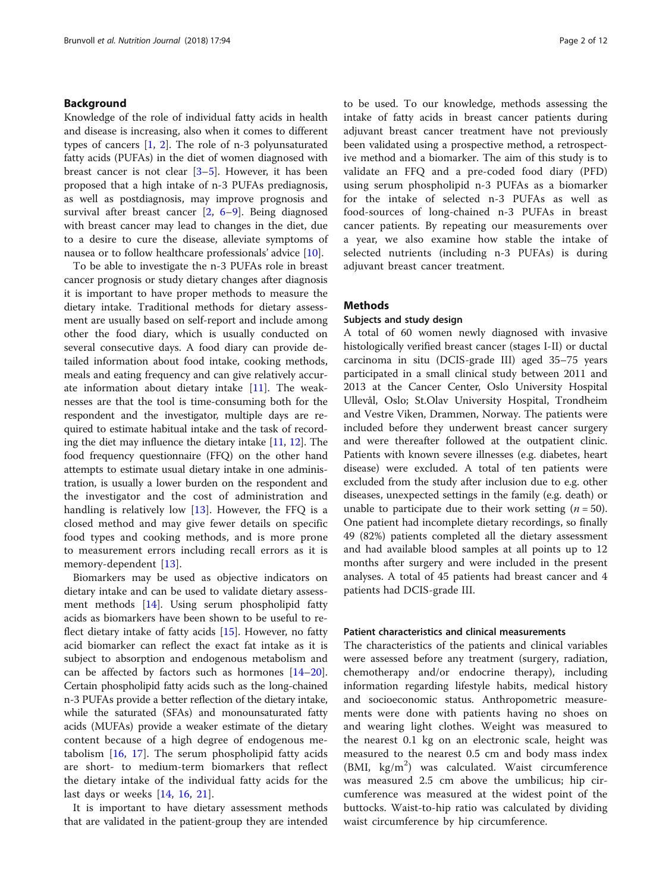# Background

Knowledge of the role of individual fatty acids in health and disease is increasing, also when it comes to different types of cancers  $[1, 2]$  $[1, 2]$  $[1, 2]$  $[1, 2]$ . The role of n-3 polyunsaturated fatty acids (PUFAs) in the diet of women diagnosed with breast cancer is not clear  $[3-5]$  $[3-5]$  $[3-5]$ . However, it has been proposed that a high intake of n-3 PUFAs prediagnosis, as well as postdiagnosis, may improve prognosis and survival after breast cancer [[2,](#page-10-0) [6](#page-10-0)–[9\]](#page-10-0). Being diagnosed with breast cancer may lead to changes in the diet, due to a desire to cure the disease, alleviate symptoms of nausea or to follow healthcare professionals' advice [[10\]](#page-10-0).

To be able to investigate the n-3 PUFAs role in breast cancer prognosis or study dietary changes after diagnosis it is important to have proper methods to measure the dietary intake. Traditional methods for dietary assessment are usually based on self-report and include among other the food diary, which is usually conducted on several consecutive days. A food diary can provide detailed information about food intake, cooking methods, meals and eating frequency and can give relatively accurate information about dietary intake [\[11\]](#page-10-0). The weaknesses are that the tool is time-consuming both for the respondent and the investigator, multiple days are required to estimate habitual intake and the task of recording the diet may influence the dietary intake [[11,](#page-10-0) [12](#page-10-0)]. The food frequency questionnaire (FFQ) on the other hand attempts to estimate usual dietary intake in one administration, is usually a lower burden on the respondent and the investigator and the cost of administration and handling is relatively low  $[13]$  $[13]$ . However, the FFQ is a closed method and may give fewer details on specific food types and cooking methods, and is more prone to measurement errors including recall errors as it is memory-dependent [[13\]](#page-10-0).

Biomarkers may be used as objective indicators on dietary intake and can be used to validate dietary assessment methods [\[14](#page-10-0)]. Using serum phospholipid fatty acids as biomarkers have been shown to be useful to reflect dietary intake of fatty acids [\[15\]](#page-10-0). However, no fatty acid biomarker can reflect the exact fat intake as it is subject to absorption and endogenous metabolism and can be affected by factors such as hormones [[14](#page-10-0)–[20](#page-10-0)]. Certain phospholipid fatty acids such as the long-chained n-3 PUFAs provide a better reflection of the dietary intake, while the saturated (SFAs) and monounsaturated fatty acids (MUFAs) provide a weaker estimate of the dietary content because of a high degree of endogenous metabolism [[16](#page-10-0), [17\]](#page-10-0). The serum phospholipid fatty acids are short- to medium-term biomarkers that reflect the dietary intake of the individual fatty acids for the last days or weeks [[14,](#page-10-0) [16](#page-10-0), [21](#page-10-0)].

It is important to have dietary assessment methods that are validated in the patient-group they are intended to be used. To our knowledge, methods assessing the intake of fatty acids in breast cancer patients during adjuvant breast cancer treatment have not previously been validated using a prospective method, a retrospective method and a biomarker. The aim of this study is to validate an FFQ and a pre-coded food diary (PFD) using serum phospholipid n-3 PUFAs as a biomarker for the intake of selected n-3 PUFAs as well as food-sources of long-chained n-3 PUFAs in breast cancer patients. By repeating our measurements over a year, we also examine how stable the intake of selected nutrients (including n-3 PUFAs) is during adjuvant breast cancer treatment.

# **Methods**

# Subjects and study design

A total of 60 women newly diagnosed with invasive histologically verified breast cancer (stages I-II) or ductal carcinoma in situ (DCIS-grade III) aged 35–75 years participated in a small clinical study between 2011 and 2013 at the Cancer Center, Oslo University Hospital Ullevål, Oslo; St.Olav University Hospital, Trondheim and Vestre Viken, Drammen, Norway. The patients were included before they underwent breast cancer surgery and were thereafter followed at the outpatient clinic. Patients with known severe illnesses (e.g. diabetes, heart disease) were excluded. A total of ten patients were excluded from the study after inclusion due to e.g. other diseases, unexpected settings in the family (e.g. death) or unable to participate due to their work setting  $(n = 50)$ . One patient had incomplete dietary recordings, so finally 49 (82%) patients completed all the dietary assessment and had available blood samples at all points up to 12 months after surgery and were included in the present analyses. A total of 45 patients had breast cancer and 4 patients had DCIS-grade III.

# Patient characteristics and clinical measurements

The characteristics of the patients and clinical variables were assessed before any treatment (surgery, radiation, chemotherapy and/or endocrine therapy), including information regarding lifestyle habits, medical history and socioeconomic status. Anthropometric measurements were done with patients having no shoes on and wearing light clothes. Weight was measured to the nearest 0.1 kg on an electronic scale, height was measured to the nearest 0.5 cm and body mass index (BMI, kg/m<sup>2</sup>) was calculated. Waist circumference was measured 2.5 cm above the umbilicus; hip circumference was measured at the widest point of the buttocks. Waist-to-hip ratio was calculated by dividing waist circumference by hip circumference.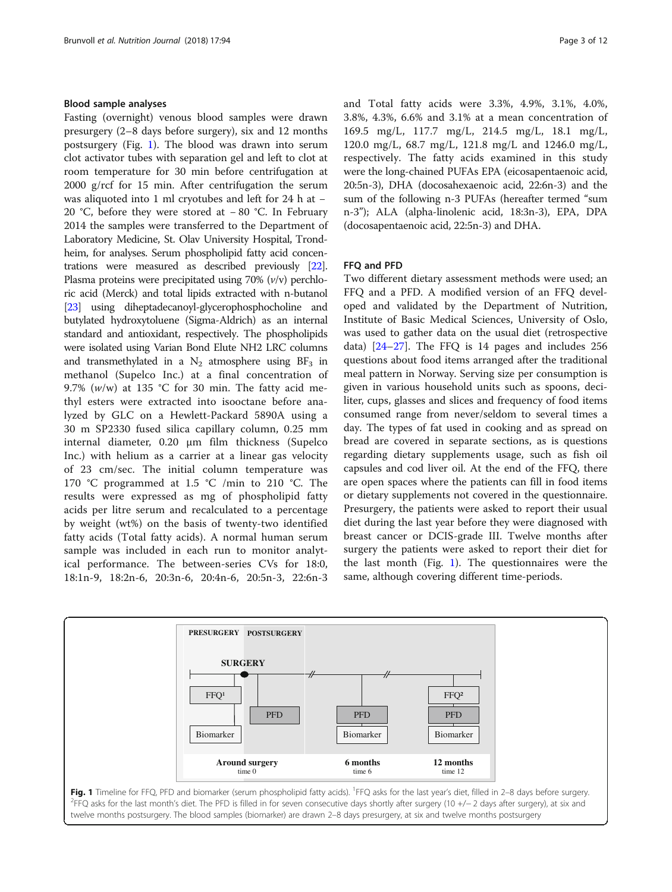# <span id="page-2-0"></span>Blood sample analyses

Fasting (overnight) venous blood samples were drawn presurgery (2–8 days before surgery), six and 12 months postsurgery (Fig. 1). The blood was drawn into serum clot activator tubes with separation gel and left to clot at room temperature for 30 min before centrifugation at 2000 g/rcf for 15 min. After centrifugation the serum was aliquoted into 1 ml cryotubes and left for 24 h at − 20 °C, before they were stored at − 80 °C. In February 2014 the samples were transferred to the Department of Laboratory Medicine, St. Olav University Hospital, Trondheim, for analyses. Serum phospholipid fatty acid concentrations were measured as described previously [\[22](#page-10-0)]. Plasma proteins were precipitated using  $70\%$  ( $v/v$ ) perchloric acid (Merck) and total lipids extracted with n-butanol [[23](#page-10-0)] using diheptadecanoyl-glycerophosphocholine and butylated hydroxytoluene (Sigma-Aldrich) as an internal standard and antioxidant, respectively. The phospholipids were isolated using Varian Bond Elute NH2 LRC columns and transmethylated in a  $N_2$  atmosphere using  $BF_3$  in methanol (Supelco Inc.) at a final concentration of 9.7% ( $w/w$ ) at 135 °C for 30 min. The fatty acid methyl esters were extracted into isooctane before analyzed by GLC on a Hewlett-Packard 5890A using a 30 m SP2330 fused silica capillary column, 0.25 mm internal diameter, 0.20 μm film thickness (Supelco Inc.) with helium as a carrier at a linear gas velocity of 23 cm/sec. The initial column temperature was 170 °C programmed at 1.5 °C /min to 210 °C. The results were expressed as mg of phospholipid fatty acids per litre serum and recalculated to a percentage by weight (wt%) on the basis of twenty-two identified fatty acids (Total fatty acids). A normal human serum sample was included in each run to monitor analytical performance. The between-series CVs for 18:0, 18:1n-9, 18:2n-6, 20:3n-6, 20:4n-6, 20:5n-3, 22:6n-3 and Total fatty acids were 3.3%, 4.9%, 3.1%, 4.0%, 3.8%, 4.3%, 6.6% and 3.1% at a mean concentration of 169.5 mg/L, 117.7 mg/L, 214.5 mg/L, 18.1 mg/L, 120.0 mg/L, 68.7 mg/L, 121.8 mg/L and 1246.0 mg/L, respectively. The fatty acids examined in this study were the long-chained PUFAs EPA (eicosapentaenoic acid, 20:5n-3), DHA (docosahexaenoic acid, 22:6n-3) and the sum of the following n-3 PUFAs (hereafter termed "sum n-3"); ALA (alpha-linolenic acid, 18:3n-3), EPA, DPA (docosapentaenoic acid, 22:5n-3) and DHA.

# FFQ and PFD

Two different dietary assessment methods were used; an FFQ and a PFD. A modified version of an FFQ developed and validated by the Department of Nutrition, Institute of Basic Medical Sciences, University of Oslo, was used to gather data on the usual diet (retrospective data) [\[24](#page-10-0)–[27\]](#page-10-0). The FFQ is 14 pages and includes 256 questions about food items arranged after the traditional meal pattern in Norway. Serving size per consumption is given in various household units such as spoons, deciliter, cups, glasses and slices and frequency of food items consumed range from never/seldom to several times a day. The types of fat used in cooking and as spread on bread are covered in separate sections, as is questions regarding dietary supplements usage, such as fish oil capsules and cod liver oil. At the end of the FFQ, there are open spaces where the patients can fill in food items or dietary supplements not covered in the questionnaire. Presurgery, the patients were asked to report their usual diet during the last year before they were diagnosed with breast cancer or DCIS-grade III. Twelve months after surgery the patients were asked to report their diet for the last month (Fig. 1). The questionnaires were the same, although covering different time-periods.

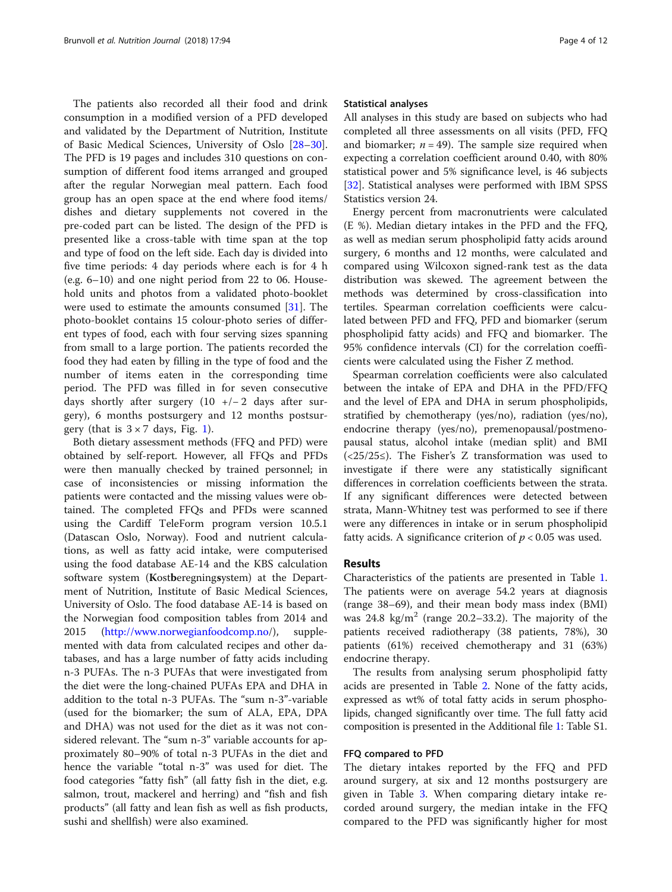The patients also recorded all their food and drink consumption in a modified version of a PFD developed and validated by the Department of Nutrition, Institute of Basic Medical Sciences, University of Oslo [[28](#page-10-0)–[30](#page-10-0)]. The PFD is 19 pages and includes 310 questions on consumption of different food items arranged and grouped after the regular Norwegian meal pattern. Each food group has an open space at the end where food items/ dishes and dietary supplements not covered in the pre-coded part can be listed. The design of the PFD is presented like a cross-table with time span at the top and type of food on the left side. Each day is divided into five time periods: 4 day periods where each is for 4 h (e.g. 6–10) and one night period from 22 to 06. Household units and photos from a validated photo-booklet were used to estimate the amounts consumed [[31](#page-10-0)]. The photo-booklet contains 15 colour-photo series of different types of food, each with four serving sizes spanning from small to a large portion. The patients recorded the food they had eaten by filling in the type of food and the number of items eaten in the corresponding time period. The PFD was filled in for seven consecutive days shortly after surgery  $(10 +/-2)$  days after surgery), 6 months postsurgery and 12 months postsurgery (that is  $3 \times 7$  days, Fig. [1](#page-2-0)).

Both dietary assessment methods (FFQ and PFD) were obtained by self-report. However, all FFQs and PFDs were then manually checked by trained personnel; in case of inconsistencies or missing information the patients were contacted and the missing values were obtained. The completed FFQs and PFDs were scanned using the Cardiff TeleForm program version 10.5.1 (Datascan Oslo, Norway). Food and nutrient calculations, as well as fatty acid intake, were computerised using the food database AE-14 and the KBS calculation software system (Kostberegningsystem) at the Department of Nutrition, Institute of Basic Medical Sciences, University of Oslo. The food database AE-14 is based on the Norwegian food composition tables from 2014 and 2015 (<http://www.norwegianfoodcomp.no>/), supplemented with data from calculated recipes and other databases, and has a large number of fatty acids including n-3 PUFAs. The n-3 PUFAs that were investigated from the diet were the long-chained PUFAs EPA and DHA in addition to the total n-3 PUFAs. The "sum n-3"-variable (used for the biomarker; the sum of ALA, EPA, DPA and DHA) was not used for the diet as it was not considered relevant. The "sum n-3" variable accounts for approximately 80–90% of total n-3 PUFAs in the diet and hence the variable "total n-3" was used for diet. The food categories "fatty fish" (all fatty fish in the diet, e.g. salmon, trout, mackerel and herring) and "fish and fish products" (all fatty and lean fish as well as fish products, sushi and shellfish) were also examined.

#### Statistical analyses

All analyses in this study are based on subjects who had completed all three assessments on all visits (PFD, FFQ and biomarker;  $n = 49$ ). The sample size required when expecting a correlation coefficient around 0.40, with 80% statistical power and 5% significance level, is 46 subjects [[32\]](#page-10-0). Statistical analyses were performed with IBM SPSS Statistics version 24.

Energy percent from macronutrients were calculated (E %). Median dietary intakes in the PFD and the FFQ, as well as median serum phospholipid fatty acids around surgery, 6 months and 12 months, were calculated and compared using Wilcoxon signed-rank test as the data distribution was skewed. The agreement between the methods was determined by cross-classification into tertiles. Spearman correlation coefficients were calculated between PFD and FFQ, PFD and biomarker (serum phospholipid fatty acids) and FFQ and biomarker. The 95% confidence intervals (CI) for the correlation coefficients were calculated using the Fisher Z method.

Spearman correlation coefficients were also calculated between the intake of EPA and DHA in the PFD/FFQ and the level of EPA and DHA in serum phospholipids, stratified by chemotherapy (yes/no), radiation (yes/no), endocrine therapy (yes/no), premenopausal/postmenopausal status, alcohol intake (median split) and BMI (<25/25≤). The Fisher's Z transformation was used to investigate if there were any statistically significant differences in correlation coefficients between the strata. If any significant differences were detected between strata, Mann-Whitney test was performed to see if there were any differences in intake or in serum phospholipid fatty acids. A significance criterion of  $p < 0.05$  was used.

# Results

Characteristics of the patients are presented in Table [1](#page-4-0). The patients were on average 54.2 years at diagnosis (range 38–69), and their mean body mass index (BMI) was 24.8 kg/m<sup>2</sup> (range 20.2–33.2). The majority of the patients received radiotherapy (38 patients, 78%), 30 patients (61%) received chemotherapy and 31 (63%) endocrine therapy.

The results from analysing serum phospholipid fatty acids are presented in Table [2](#page-4-0). None of the fatty acids, expressed as wt% of total fatty acids in serum phospholipids, changed significantly over time. The full fatty acid composition is presented in the Additional file [1](#page-9-0): Table S1.

# FFQ compared to PFD

The dietary intakes reported by the FFQ and PFD around surgery, at six and 12 months postsurgery are given in Table [3](#page-5-0). When comparing dietary intake recorded around surgery, the median intake in the FFQ compared to the PFD was significantly higher for most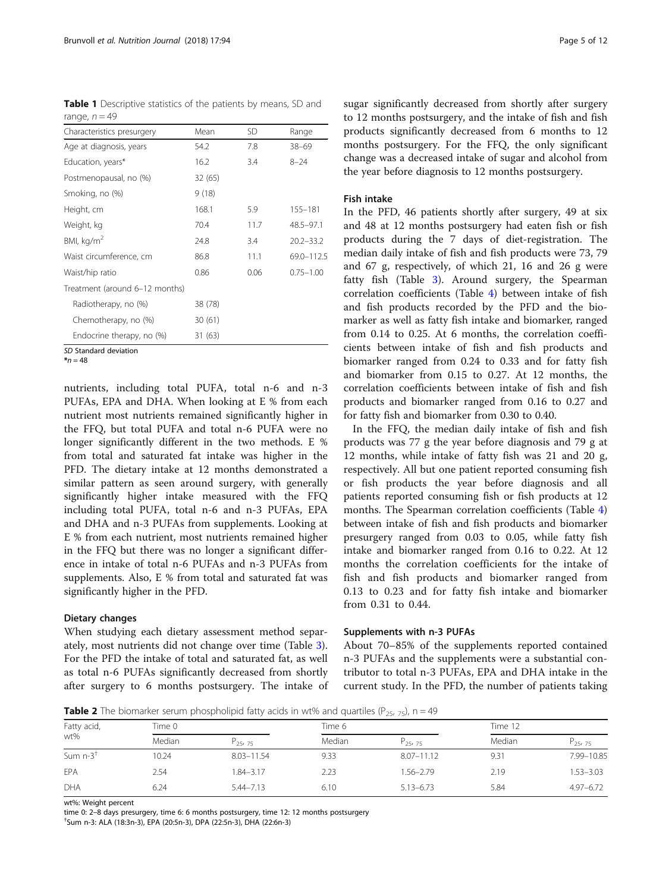<span id="page-4-0"></span>Table 1 Descriptive statistics of the patients by means, SD and range,  $n = 49$ 

| Characteristics presurgery     | Mean    | <b>SD</b> | Range         |
|--------------------------------|---------|-----------|---------------|
| Age at diagnosis, years        | 54.2    | 7.8       | $38 - 69$     |
| Education, years*              | 16.2    | 3.4       | $8 - 24$      |
| Postmenopausal, no (%)         | 32(65)  |           |               |
| Smoking, no (%)                | 9(18)   |           |               |
| Height, cm                     | 168.1   | 5.9       | 155-181       |
| Weight, kg                     | 70.4    | 11.7      | 48.5-97.1     |
| BMI, $\text{kg/m}^2$           | 24.8    | 3.4       | $20.2 - 33.2$ |
| Waist circumference, cm        | 86.8    | 11.1      | 69.0-112.5    |
| Waist/hip ratio                | 0.86    | 0.06      | $0.75 - 1.00$ |
| Treatment (around 6-12 months) |         |           |               |
| Radiotherapy, no (%)           | 38 (78) |           |               |
| Chemotherapy, no (%)           | 30(61)  |           |               |
| Endocrine therapy, no (%)      | 31 (63) |           |               |

SD Standard deviation

 $*_{n=48}$ 

nutrients, including total PUFA, total n-6 and n-3 PUFAs, EPA and DHA. When looking at E % from each nutrient most nutrients remained significantly higher in the FFQ, but total PUFA and total n-6 PUFA were no longer significantly different in the two methods. E % from total and saturated fat intake was higher in the PFD. The dietary intake at 12 months demonstrated a similar pattern as seen around surgery, with generally significantly higher intake measured with the FFQ including total PUFA, total n-6 and n-3 PUFAs, EPA and DHA and n-3 PUFAs from supplements. Looking at E % from each nutrient, most nutrients remained higher in the FFQ but there was no longer a significant difference in intake of total n-6 PUFAs and n-3 PUFAs from supplements. Also, E % from total and saturated fat was significantly higher in the PFD.

# Dietary changes

When studying each dietary assessment method separately, most nutrients did not change over time (Table [3](#page-5-0)). For the PFD the intake of total and saturated fat, as well as total n-6 PUFAs significantly decreased from shortly after surgery to 6 months postsurgery. The intake of

sugar significantly decreased from shortly after surgery to 12 months postsurgery, and the intake of fish and fish products significantly decreased from 6 months to 12 months postsurgery. For the FFQ, the only significant change was a decreased intake of sugar and alcohol from the year before diagnosis to 12 months postsurgery.

# Fish intake

In the PFD, 46 patients shortly after surgery, 49 at six and 48 at 12 months postsurgery had eaten fish or fish products during the 7 days of diet-registration. The median daily intake of fish and fish products were 73, 79 and 67 g, respectively, of which 21, 16 and 26 g were fatty fish (Table [3](#page-5-0)). Around surgery, the Spearman correlation coefficients (Table [4\)](#page-6-0) between intake of fish and fish products recorded by the PFD and the biomarker as well as fatty fish intake and biomarker, ranged from 0.14 to 0.25. At 6 months, the correlation coefficients between intake of fish and fish products and biomarker ranged from 0.24 to 0.33 and for fatty fish and biomarker from 0.15 to 0.27. At 12 months, the correlation coefficients between intake of fish and fish products and biomarker ranged from 0.16 to 0.27 and for fatty fish and biomarker from 0.30 to 0.40.

In the FFQ, the median daily intake of fish and fish products was 77 g the year before diagnosis and 79 g at 12 months, while intake of fatty fish was 21 and 20 g, respectively. All but one patient reported consuming fish or fish products the year before diagnosis and all patients reported consuming fish or fish products at 12 months. The Spearman correlation coefficients (Table [4](#page-6-0)) between intake of fish and fish products and biomarker presurgery ranged from 0.03 to 0.05, while fatty fish intake and biomarker ranged from 0.16 to 0.22. At 12 months the correlation coefficients for the intake of fish and fish products and biomarker ranged from 0.13 to 0.23 and for fatty fish intake and biomarker from 0.31 to 0.44.

# Supplements with n-3 PUFAs

About 70–85% of the supplements reported contained n-3 PUFAs and the supplements were a substantial contributor to total n-3 PUFAs, EPA and DHA intake in the current study. In the PFD, the number of patients taking

**Table 2** The biomarker serum phospholipid fatty acids in wt% and quartiles ( $P_{25, 75}$ ), n = 49

| Fatty acid,            | Time 0 |                                 | Time 6 |                | Time 12 |               |
|------------------------|--------|---------------------------------|--------|----------------|---------|---------------|
| wt%                    | Median | P <sub>25</sub> , <sub>75</sub> | Median | $P_{25,75}$    | Median  | $P_{25,75}$   |
| Sum $n-3$ <sup>+</sup> | 10.24  | $8.03 - 11.54$                  | 9.33   | $8.07 - 11.12$ | 9.31    | 7.99-10.85    |
| EPA                    | 2.54   | 1.84-3.17                       | 2.23   | 1.56-2.79      | 2.19    | $1.53 - 3.03$ |
| DHA                    | 6.24   | $5.44 - 7.13$                   | 6.10   | $5.13 - 6.73$  | 5.84    | $4.97 - 6.72$ |

wt%: Weight percent

time 0: 2–8 days presurgery, time 6: 6 months postsurgery, time 12: 12 months postsurgery

Sum n-3: ALA (18:3n-3), EPA (20:5n-3), DPA (22:5n-3), DHA (22:6n-3)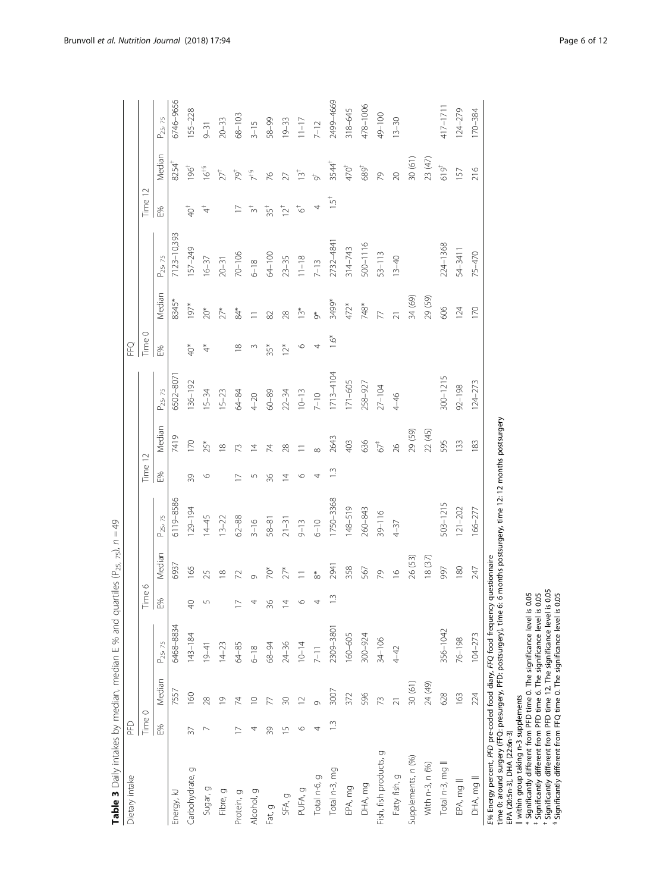<span id="page-5-0"></span>

| Dietary intake                                                  | PFD            |                |                      |                     |                      |                      |         |                  |                      | EFQ           |               |                      |                  |                         |                      |
|-----------------------------------------------------------------|----------------|----------------|----------------------|---------------------|----------------------|----------------------|---------|------------------|----------------------|---------------|---------------|----------------------|------------------|-------------------------|----------------------|
|                                                                 | Time 0         |                |                      |                     |                      |                      | Time 12 |                  |                      | Time 0        |               |                      | Time 12          |                         |                      |
|                                                                 | E%             | Median         | P <sub>25</sub> , 75 | $\frac{Time 6}{E%}$ | Median               | P <sub>25</sub> , 75 | E%      | Median           | P <sub>25</sub> , 75 | E%            | Median        | P <sub>25</sub> , 75 | E%               | Median                  | P <sub>25</sub> , 75 |
| Energy, kJ                                                      |                | 7557           | 6468-8834            |                     | 6937                 | 5119-8586            |         | 7419             | 5502-807             |               | 8345*         | 7123-10,393          |                  | 8254                    | 5746-9656            |
| Carbohydrate, g                                                 | 37             | 160            | $143 - 184$          | $\sqrt{2}$          | 165                  | $129 - 194$          | 39      | $\overline{170}$ | $136 - 192$          | $^{*}$        | $197*$        | 157-249              | $\overline{Q}^+$ | 196 <sup>†</sup>        | 155-228              |
| Sugar, g                                                        |                | 28             | $19 - 41$            |                     | 25                   | $14 - 45$            | ⊙       | $25*$            | $15 - 34$            |               | $20*$         | $16 - 37$            |                  | $16^{+5}$               | $9 - 31$             |
| Fibre, g                                                        |                | $\overline{0}$ | $14 - 23$            |                     | $\infty$             | $13 - 22$            |         | $\infty$         | $15 - 23$            |               | $27*$         | $20 - 31$            |                  | $27^{\dagger}$          | $20 - 33$            |
| Protein, g                                                      |                | 74             | 64-85                |                     | 72                   | $62 - 88$            |         |                  | 64-84                | $\infty$      | \$4*          | $70 - 106$           |                  | $\vec{e}^{\dagger}$     | $68 - 103$           |
| Alcohol, g                                                      |                | $\circ$        | $6 - 18$             |                     |                      | $3 - 16$             |         |                  | $4 - 20$             |               |               | $6 - 18$             |                  |                         | $3 - 15$             |
| Fat, g                                                          | 39             |                | 68-94                | 36                  | *Č                   | $58 - 81$            | 36      |                  | $60 - 89$            | 35*           |               | 64-100               | $35^+$           | 97                      | 58-99                |
| SFA, g                                                          | $\overline{1}$ |                | $24 - 36$            |                     | $27*$                | $21 - 31$            | 4       | ⊗                | $22 - 34$            | $\tilde{c}^*$ | $\frac{8}{2}$ | $23 - 35$            | $\overline{2}^+$ |                         | $19 - 33$            |
| PUFA, g                                                         | ⊙              |                | $10 - 14$            | $\circ$             |                      | $9 - 13$             | ७       |                  | $10 - 13$            | $\circ$       | $\tilde{1}^*$ | $11 - 18$            | $\vec{c}$        | $\tilde{\Xi}^{\dagger}$ | $11 - 17$            |
| Total n-6, g                                                    |                |                | $7-11$               | 4                   | $\overset{*}{\circ}$ | $6 - 10$             |         |                  | $7 - 10$             | 4             | $\sigma^*$    | $7 - 13$             |                  |                         | $7 - 12$             |
| Total n-3, mg                                                   | $\tilde{=}$    | 3007           | 2309-3801            | $1.3\,$             | 2941                 | 1750-3368            |         | 2643             | $1713 - 4104$        | $1.6*$        | 3499*         | 2732-4841            | نب               | $3544^{\dagger}$        | 2499-4669            |
| EPA, mg                                                         |                | 372            | 160-605              |                     | 358                  | $148 - 519$          |         | 403              | $171 - 605$          |               | 472*          | $314 - 743$          |                  | $470^{\dagger}$         | 318-645              |
| DHA, mg                                                         |                | 596            | 300-924              |                     | 567                  | 260-843              |         | 636              | 258-927              |               | 748*          | 500-1116             |                  | $689^{\dagger}$         | 478-1006             |
| Fish, fish products, g                                          |                | 73             | $34 - 106$           |                     | 2                    | $39 - 116$           |         | $67+$            | $27 - 104$           |               |               | $53 - 113$           |                  | R <sub>2</sub>          | 49-100               |
| Fatty fish, g                                                   |                |                | 4-42                 |                     | $\frac{6}{1}$        | $4 - 37$             |         | 26               | $4 - 46$             |               |               | $13 - 40$            |                  | $\overline{20}$         | $13 - 30$            |
| Supplements, n (%)                                              |                | 30(61)         |                      |                     | 26 (53)              |                      |         | 29 (59)          |                      |               | 34 (69)       |                      |                  | 30 (61)                 |                      |
| With n-3, n (%)                                                 |                | 24 (49)        |                      |                     | 18(37)               |                      |         | 22 (45)          |                      |               | 29 (59)       |                      |                  | 23 (47)                 |                      |
| Total n-3, mg                                                   |                | 628            | 356-1042             |                     | 566                  | 503-1215             |         | 595              | $300 - 1215$         |               | 606           | 224-1368             |                  | $619^{+}$               | $417 - 171$          |
| EPA, mg                                                         |                | 163            | 76-198               |                     | 180                  | $121 - 202$          |         | $\overline{33}$  | $92 - 198$           |               | 124           | 54-3411              |                  | 157                     | $124 - 279$          |
| DHA, mg II                                                      |                | 224            | $104 - 273$          |                     | 247                  | $166 - 277$          |         | 183              | $124 - 273$          |               | 170           | 75-470               |                  | 216                     | 170-384              |
| E% Energy percent, PFD pre-coded food diary, FFQ food frequency |                |                |                      |                     | questionnaire        |                      |         |                  |                      |               |               |                      |                  |                         |                      |

**Table 3** Daily intakes by median, median E % and quartiles ( $P_{25-75}$ ),  $n = 49$ **Table 3** Daily intakes by median, median E % and quartiles (P<sub>25, 75</sub>),  $n = 49$  time 0: around surgery (FFQ: presurgery, PFD: postsurgery), time 6: 6 months postsurgery, time 12: 12 months postsurgery time 0: around surgery (FFQ: presurgery, PFD: postsurgery), time 6: 6 months postsurgery, time 12: 12 months postsurgery

EPA (20:5n-3), DHA (22:6n-3)

within group taking n-3 supplements

‖‡†§\* Significantly different from PFD time 0. The significance level is 0.05

Significantly different from PFD time 6. The significance level is 0.05

 Significantly different from PFD time 12. The significance level is 0.05 Significantly different from FFQ time 0. The significance level is 0.05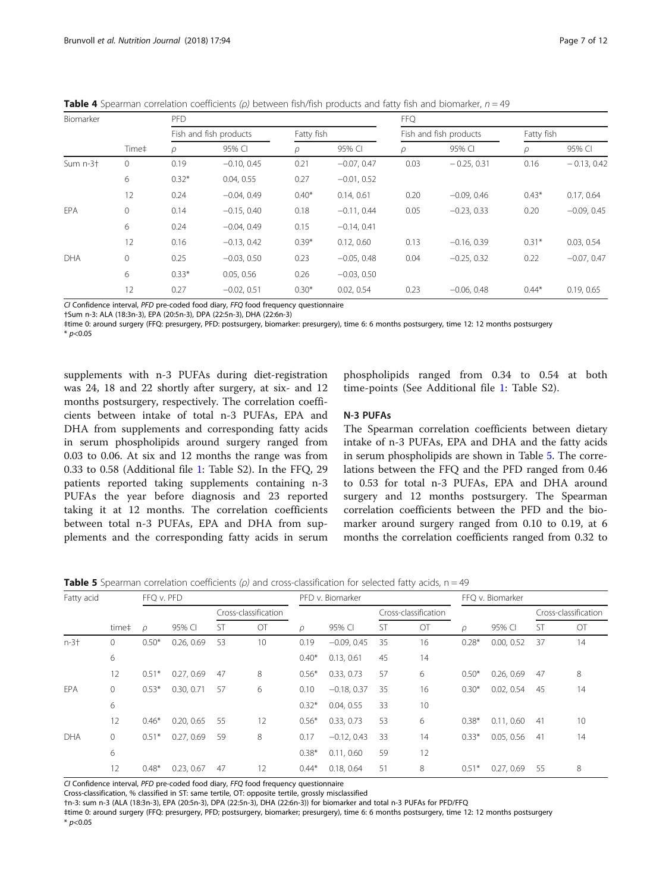| Biomarker   |              | <b>PFD</b> |                        |         |               | <b>FFQ</b> |                        |            |               |  |  |  |
|-------------|--------------|------------|------------------------|---------|---------------|------------|------------------------|------------|---------------|--|--|--|
|             |              |            | Fish and fish products |         | Fatty fish    |            | Fish and fish products | Fatty fish |               |  |  |  |
|             | Time#        | $\rho$     | 95% CI                 | ρ       | 95% CI        | ρ          | 95% CI                 | $\rho$     | 95% CI        |  |  |  |
| Sum $n-3$ + | $\mathbf{0}$ | 0.19       | $-0.10, 0.45$          | 0.21    | $-0.07.047$   | 0.03       | $-0.25, 0.31$          | 0.16       | $-0.13, 0.42$ |  |  |  |
|             | 6            | $0.32*$    | 0.04, 0.55             | 0.27    | $-0.01, 0.52$ |            |                        |            |               |  |  |  |
|             | 12           | 0.24       | $-0.04.049$            | $0.40*$ | 0.14, 0.61    | 0.20       | $-0.09, 0.46$          | $0.43*$    | 0.17, 0.64    |  |  |  |
| EPA         | $\mathbf{0}$ | 0.14       | $-0.15, 0.40$          | 0.18    | $-0.11, 0.44$ | 0.05       | $-0.23, 0.33$          | 0.20       | $-0.09, 0.45$ |  |  |  |
|             | 6            | 0.24       | $-0.04, 0.49$          | 0.15    | $-0.14, 0.41$ |            |                        |            |               |  |  |  |
|             | 12           | 0.16       | $-0.13, 0.42$          | $0.39*$ | 0.12, 0.60    | 0.13       | $-0.16, 0.39$          | $0.31*$    | 0.03, 0.54    |  |  |  |
| <b>DHA</b>  | $\mathbf{0}$ | 0.25       | $-0.03, 0.50$          | 0.23    | $-0.05, 0.48$ | 0.04       | $-0.25, 0.32$          | 0.22       | $-0.07, 0.47$ |  |  |  |
|             | 6            | $0.33*$    | 0.05, 0.56             | 0.26    | $-0.03, 0.50$ |            |                        |            |               |  |  |  |
|             | 12           | 0.27       | $-0.02, 0.51$          | $0.30*$ | 0.02.0.54     | 0.23       | $-0.06, 0.48$          | $0.44*$    | 0.19, 0.65    |  |  |  |

<span id="page-6-0"></span>**Table 4** Spearman correlation coefficients (ρ) between fish/fish products and fatty fish and biomarker,  $n = 49$ 

CI Confidence interval, PFD pre-coded food diary, FFQ food frequency questionnaire

†Sum n-3: ALA (18:3n-3), EPA (20:5n-3), DPA (22:5n-3), DHA (22:6n-3)

‡time 0: around surgery (FFQ: presurgery, PFD: postsurgery, biomarker: presurgery), time 6: 6 months postsurgery, time 12: 12 months postsurgery  $*$  p<0.05

supplements with n-3 PUFAs during diet-registration was 24, 18 and 22 shortly after surgery, at six- and 12 months postsurgery, respectively. The correlation coefficients between intake of total n-3 PUFAs, EPA and DHA from supplements and corresponding fatty acids in serum phospholipids around surgery ranged from 0.03 to 0.06. At six and 12 months the range was from 0.33 to 0.58 (Additional file [1](#page-9-0): Table S2). In the FFQ, 29 patients reported taking supplements containing n-3 PUFAs the year before diagnosis and 23 reported taking it at 12 months. The correlation coefficients between total n-3 PUFAs, EPA and DHA from supplements and the corresponding fatty acids in serum phospholipids ranged from 0.34 to 0.54 at both time-points (See Additional file [1:](#page-9-0) Table S2).

# N-3 PUFAs

The Spearman correlation coefficients between dietary intake of n-3 PUFAs, EPA and DHA and the fatty acids in serum phospholipids are shown in Table 5. The correlations between the FFQ and the PFD ranged from 0.46 to 0.53 for total n-3 PUFAs, EPA and DHA around surgery and 12 months postsurgery. The Spearman correlation coefficients between the PFD and the biomarker around surgery ranged from 0.10 to 0.19, at 6 months the correlation coefficients ranged from 0.32 to

**Table 5** Spearman correlation coefficients ( $\rho$ ) and cross-classification for selected fatty acids,  $n = 49$ 

| Fatty acid |              | FFQ v. PFD |            |           |                      | PFD v. Biomarker |               |           |                      | FFQ v. Biomarker |            |                      |    |
|------------|--------------|------------|------------|-----------|----------------------|------------------|---------------|-----------|----------------------|------------------|------------|----------------------|----|
|            |              |            |            |           | Cross-classification |                  |               |           | Cross-classification |                  |            | Cross-classification |    |
|            | time‡        | ρ          | 95% CI     | <b>ST</b> | OT                   | ρ                | 95% CI        | <b>ST</b> | OT                   | $\varrho$        | 95% CI     | ST                   | OT |
| $n - 3 +$  | 0            | $0.50*$    | 0.26, 0.69 | 53        | 10                   | 0.19             | $-0.09, 0.45$ | 35        | 16                   | $0.28*$          | 0.00, 0.52 | 37                   | 14 |
|            | 6            |            |            |           |                      | $0.40*$          | 0.13, 0.61    | 45        | 14                   |                  |            |                      |    |
|            | 12           | $0.51*$    | 0.27, 0.69 | 47        | 8                    | $0.56*$          | 0.33, 0.73    | 57        | 6                    | $0.50*$          | 0.26, 0.69 | 47                   | 8  |
| EPA        | $\mathbf{0}$ | $0.53*$    | 0.30, 0.71 | 57        | 6                    | 0.10             | $-0.18, 0.37$ | 35        | 16                   | $0.30*$          | 0.02, 0.54 | 45                   | 14 |
|            | 6            |            |            |           |                      | $0.32*$          | 0.04, 0.55    | 33        | 10                   |                  |            |                      |    |
|            | 12           | $0.46*$    | 0.20, 0.65 | 55        | 12                   | $0.56*$          | 0.33, 0.73    | 53        | 6                    | $0.38*$          | 0.11.060   | 41                   | 10 |
| DHA        | 0            | $0.51*$    | 0.27, 0.69 | 59        | 8                    | 0.17             | $-0.12, 0.43$ | 33        | 14                   | $0.33*$          | 0.05, 0.56 | 41                   | 14 |
|            | 6            |            |            |           |                      | $0.38*$          | 0.11, 0.60    | 59        | 12                   |                  |            |                      |    |
|            | 12           | $0.48*$    | 0.23, 0.67 | 47        | 12                   | $0.44*$          | 0.18.0.64     | 51        | 8                    | $0.51*$          | 0.27, 0.69 | 55                   | 8  |

CI Confidence interval, PFD pre-coded food diary, FFQ food frequency questionnaire

Cross-classification, % classified in ST: same tertile, OT: opposite tertile, grossly misclassified

†n-3: sum n-3 (ALA (18:3n-3), EPA (20:5n-3), DPA (22:5n-3), DHA (22:6n-3)) for biomarker and total n-3 PUFAs for PFD/FFQ

‡time 0: around surgery (FFQ: presurgery, PFD; postsurgery, biomarker; presurgery), time 6: 6 months postsurgery, time 12: 12 months postsurgery  $*$  p<0.05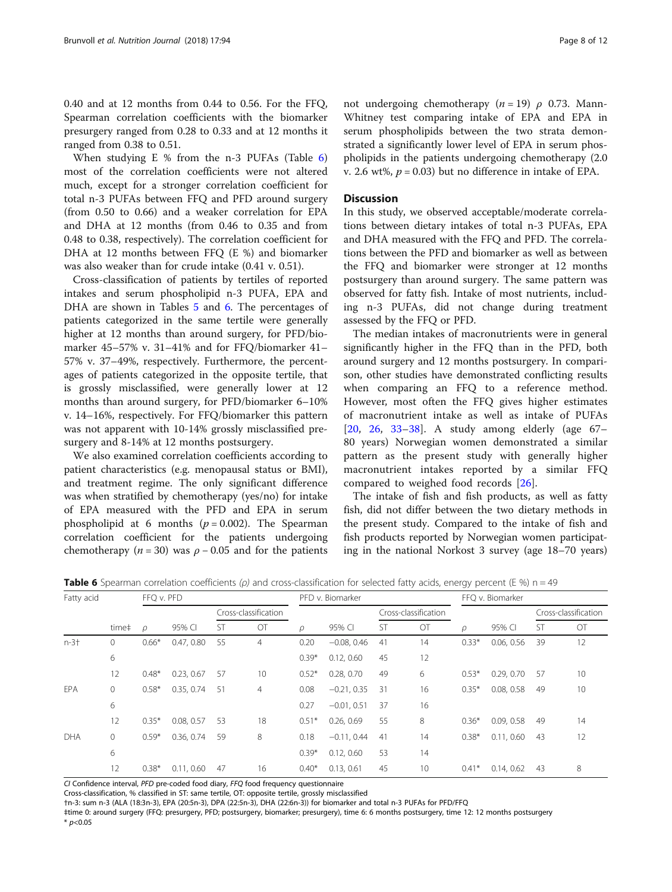0.40 and at 12 months from 0.44 to 0.56. For the FFQ, Spearman correlation coefficients with the biomarker presurgery ranged from 0.28 to 0.33 and at 12 months it ranged from 0.38 to 0.51.

When studying E % from the n-3 PUFAs (Table 6) most of the correlation coefficients were not altered much, except for a stronger correlation coefficient for total n-3 PUFAs between FFQ and PFD around surgery (from 0.50 to 0.66) and a weaker correlation for EPA and DHA at 12 months (from 0.46 to 0.35 and from 0.48 to 0.38, respectively). The correlation coefficient for DHA at 12 months between FFQ (E %) and biomarker was also weaker than for crude intake (0.41 v. 0.51).

Cross-classification of patients by tertiles of reported intakes and serum phospholipid n-3 PUFA, EPA and DHA are shown in Tables [5](#page-6-0) and 6. The percentages of patients categorized in the same tertile were generally higher at 12 months than around surgery, for PFD/biomarker 45–57% v. 31–41% and for FFQ/biomarker 41– 57% v. 37–49%, respectively. Furthermore, the percentages of patients categorized in the opposite tertile, that is grossly misclassified, were generally lower at 12 months than around surgery, for PFD/biomarker 6–10% v. 14–16%, respectively. For FFQ/biomarker this pattern was not apparent with 10-14% grossly misclassified presurgery and 8-14% at 12 months postsurgery.

We also examined correlation coefficients according to patient characteristics (e.g. menopausal status or BMI), and treatment regime. The only significant difference was when stratified by chemotherapy (yes/no) for intake of EPA measured with the PFD and EPA in serum phospholipid at 6 months ( $p = 0.002$ ). The Spearman correlation coefficient for the patients undergoing chemotherapy ( $n = 30$ ) was  $\rho - 0.05$  and for the patients not undergoing chemotherapy ( $n = 19$ )  $\rho$  0.73. Mann-Whitney test comparing intake of EPA and EPA in serum phospholipids between the two strata demonstrated a significantly lower level of EPA in serum phospholipids in the patients undergoing chemotherapy (2.0 v. 2.6 wt%,  $p = 0.03$ ) but no difference in intake of EPA.

#### **Discussion**

In this study, we observed acceptable/moderate correlations between dietary intakes of total n-3 PUFAs, EPA and DHA measured with the FFQ and PFD. The correlations between the PFD and biomarker as well as between the FFQ and biomarker were stronger at 12 months postsurgery than around surgery. The same pattern was observed for fatty fish. Intake of most nutrients, including n-3 PUFAs, did not change during treatment assessed by the FFQ or PFD.

The median intakes of macronutrients were in general significantly higher in the FFQ than in the PFD, both around surgery and 12 months postsurgery. In comparison, other studies have demonstrated conflicting results when comparing an FFQ to a reference method. However, most often the FFQ gives higher estimates of macronutrient intake as well as intake of PUFAs [[20,](#page-10-0) [26](#page-10-0), [33](#page-10-0)–[38](#page-11-0)]. A study among elderly (age 67– 80 years) Norwegian women demonstrated a similar pattern as the present study with generally higher macronutrient intakes reported by a similar FFQ compared to weighed food records [[26](#page-10-0)].

The intake of fish and fish products, as well as fatty fish, did not differ between the two dietary methods in the present study. Compared to the intake of fish and fish products reported by Norwegian women participating in the national Norkost 3 survey (age 18–70 years)

**Table 6** Spearman correlation coefficients ( $\rho$ ) and cross-classification for selected fatty acids, energy percent (E %) n = 49

| Fatty acid |              | FFQ v. PFD |            |           |                      | PFD v. Biomarker |               |           |                      | FFO v. Biomarker |            |                      |    |
|------------|--------------|------------|------------|-----------|----------------------|------------------|---------------|-----------|----------------------|------------------|------------|----------------------|----|
|            |              |            |            |           | Cross-classification |                  |               |           | Cross-classification |                  |            | Cross-classification |    |
|            | time‡        | ρ          | 95% CI     | <b>ST</b> | OT                   | $\varphi$        | 95% CI        | <b>ST</b> | OT                   | ρ                | 95% CI     | <b>ST</b>            | OT |
| $n - 3 +$  | $\mathbf{0}$ | $0.66*$    | 0.47, 0.80 | 55        | $\overline{4}$       | 0.20             | $-0.08, 0.46$ | 41        | 14                   | $0.33*$          | 0.06, 0.56 | 39                   | 12 |
|            | 6            |            |            |           |                      | $0.39*$          | 0.12, 0.60    | 45        | 12                   |                  |            |                      |    |
|            | 12           | $0.48*$    | 0.23, 0.67 | 57        | 10                   | $0.52*$          | 0.28, 0.70    | 49        | 6                    | $0.53*$          | 0.29, 0.70 | 57                   | 10 |
| EPA        | $\mathbf{0}$ | $0.58*$    | 0.35, 0.74 | 51        | $\overline{4}$       | 0.08             | $-0.21, 0.35$ | 31        | 16                   | $0.35*$          | 0.08, 0.58 | 49                   | 10 |
|            | 6            |            |            |           |                      | 0.27             | $-0.01, 0.51$ | 37        | 16                   |                  |            |                      |    |
|            | 12           | $0.35*$    | 0.08, 0.57 | 53        | 18                   | $0.51*$          | 0.26, 0.69    | 55        | 8                    | $0.36*$          | 0.09, 0.58 | 49                   | 14 |
| DHA        | $\mathbf{0}$ | $0.59*$    | 0.36, 0.74 | 59        | 8                    | 0.18             | $-0.11, 0.44$ | 41        | 14                   | $0.38*$          | 0.11, 0.60 | 43                   | 12 |
|            | 6            |            |            |           |                      | $0.39*$          | 0.12, 0.60    | 53        | 14                   |                  |            |                      |    |
|            | 12           | $0.38*$    | 0.11, 0.60 | 47        | 16                   | $0.40*$          | 0.13, 0.61    | 45        | 10                   | $0.41*$          | 0.14, 0.62 | 43                   | 8  |

CI Confidence interval, PFD pre-coded food diary, FFQ food frequency questionnaire

Cross-classification, % classified in ST: same tertile, OT: opposite tertile, grossly misclassified

†n-3: sum n-3 (ALA (18:3n-3), EPA (20:5n-3), DPA (22:5n-3), DHA (22:6n-3)) for biomarker and total n-3 PUFAs for PFD/FFQ

‡time 0: around surgery (FFQ: presurgery, PFD; postsurgery, biomarker; presurgery), time 6: 6 months postsurgery, time 12: 12 months postsurgery  $*$  p<0.05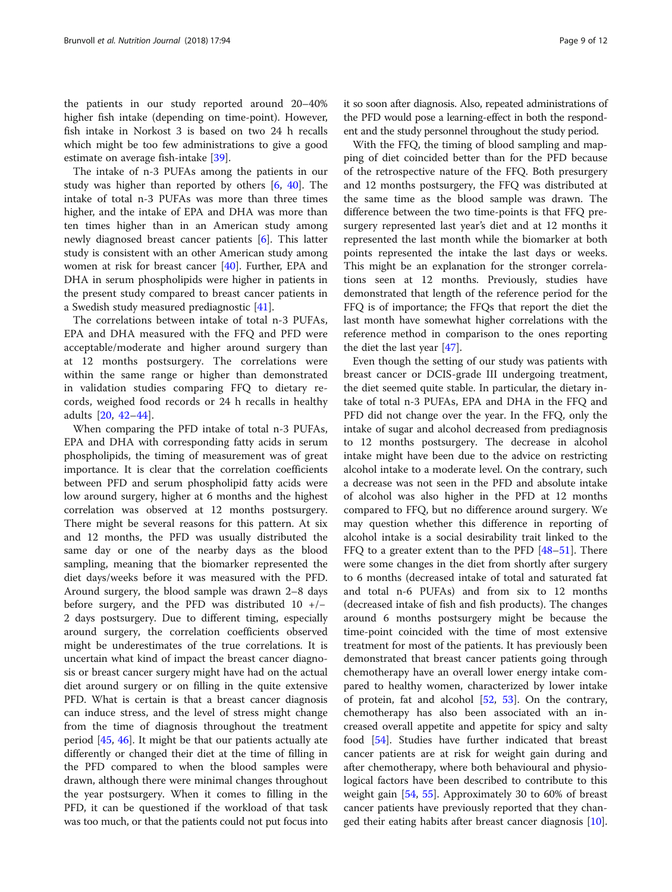the patients in our study reported around 20–40% higher fish intake (depending on time-point). However, fish intake in Norkost 3 is based on two 24 h recalls which might be too few administrations to give a good estimate on average fish-intake [[39](#page-11-0)].

The intake of n-3 PUFAs among the patients in our study was higher than reported by others [\[6,](#page-10-0) [40](#page-11-0)]. The intake of total n-3 PUFAs was more than three times higher, and the intake of EPA and DHA was more than ten times higher than in an American study among newly diagnosed breast cancer patients [\[6](#page-10-0)]. This latter study is consistent with an other American study among women at risk for breast cancer [[40\]](#page-11-0). Further, EPA and DHA in serum phospholipids were higher in patients in the present study compared to breast cancer patients in a Swedish study measured prediagnostic [\[41\]](#page-11-0).

The correlations between intake of total n-3 PUFAs, EPA and DHA measured with the FFQ and PFD were acceptable/moderate and higher around surgery than at 12 months postsurgery. The correlations were within the same range or higher than demonstrated in validation studies comparing FFQ to dietary records, weighed food records or 24 h recalls in healthy adults [[20,](#page-10-0) [42](#page-11-0)–[44](#page-11-0)].

When comparing the PFD intake of total n-3 PUFAs, EPA and DHA with corresponding fatty acids in serum phospholipids, the timing of measurement was of great importance. It is clear that the correlation coefficients between PFD and serum phospholipid fatty acids were low around surgery, higher at 6 months and the highest correlation was observed at 12 months postsurgery. There might be several reasons for this pattern. At six and 12 months, the PFD was usually distributed the same day or one of the nearby days as the blood sampling, meaning that the biomarker represented the diet days/weeks before it was measured with the PFD. Around surgery, the blood sample was drawn 2–8 days before surgery, and the PFD was distributed 10 +/− 2 days postsurgery. Due to different timing, especially around surgery, the correlation coefficients observed might be underestimates of the true correlations. It is uncertain what kind of impact the breast cancer diagnosis or breast cancer surgery might have had on the actual diet around surgery or on filling in the quite extensive PFD. What is certain is that a breast cancer diagnosis can induce stress, and the level of stress might change from the time of diagnosis throughout the treatment period [\[45](#page-11-0), [46](#page-11-0)]. It might be that our patients actually ate differently or changed their diet at the time of filling in the PFD compared to when the blood samples were drawn, although there were minimal changes throughout the year postsurgery. When it comes to filling in the PFD, it can be questioned if the workload of that task was too much, or that the patients could not put focus into

it so soon after diagnosis. Also, repeated administrations of the PFD would pose a learning-effect in both the respondent and the study personnel throughout the study period.

With the FFQ, the timing of blood sampling and mapping of diet coincided better than for the PFD because of the retrospective nature of the FFQ. Both presurgery and 12 months postsurgery, the FFQ was distributed at the same time as the blood sample was drawn. The difference between the two time-points is that FFQ presurgery represented last year's diet and at 12 months it represented the last month while the biomarker at both points represented the intake the last days or weeks. This might be an explanation for the stronger correlations seen at 12 months. Previously, studies have demonstrated that length of the reference period for the FFQ is of importance; the FFQs that report the diet the last month have somewhat higher correlations with the reference method in comparison to the ones reporting the diet the last year [[47](#page-11-0)].

Even though the setting of our study was patients with breast cancer or DCIS-grade III undergoing treatment, the diet seemed quite stable. In particular, the dietary intake of total n-3 PUFAs, EPA and DHA in the FFQ and PFD did not change over the year. In the FFQ, only the intake of sugar and alcohol decreased from prediagnosis to 12 months postsurgery. The decrease in alcohol intake might have been due to the advice on restricting alcohol intake to a moderate level. On the contrary, such a decrease was not seen in the PFD and absolute intake of alcohol was also higher in the PFD at 12 months compared to FFQ, but no difference around surgery. We may question whether this difference in reporting of alcohol intake is a social desirability trait linked to the FFQ to a greater extent than to the PFD [\[48](#page-11-0)–[51\]](#page-11-0). There were some changes in the diet from shortly after surgery to 6 months (decreased intake of total and saturated fat and total n-6 PUFAs) and from six to 12 months (decreased intake of fish and fish products). The changes around 6 months postsurgery might be because the time-point coincided with the time of most extensive treatment for most of the patients. It has previously been demonstrated that breast cancer patients going through chemotherapy have an overall lower energy intake compared to healthy women, characterized by lower intake of protein, fat and alcohol [\[52](#page-11-0), [53](#page-11-0)]. On the contrary, chemotherapy has also been associated with an increased overall appetite and appetite for spicy and salty food [\[54](#page-11-0)]. Studies have further indicated that breast cancer patients are at risk for weight gain during and after chemotherapy, where both behavioural and physiological factors have been described to contribute to this weight gain [[54,](#page-11-0) [55](#page-11-0)]. Approximately 30 to 60% of breast cancer patients have previously reported that they changed their eating habits after breast cancer diagnosis [\[10](#page-10-0)].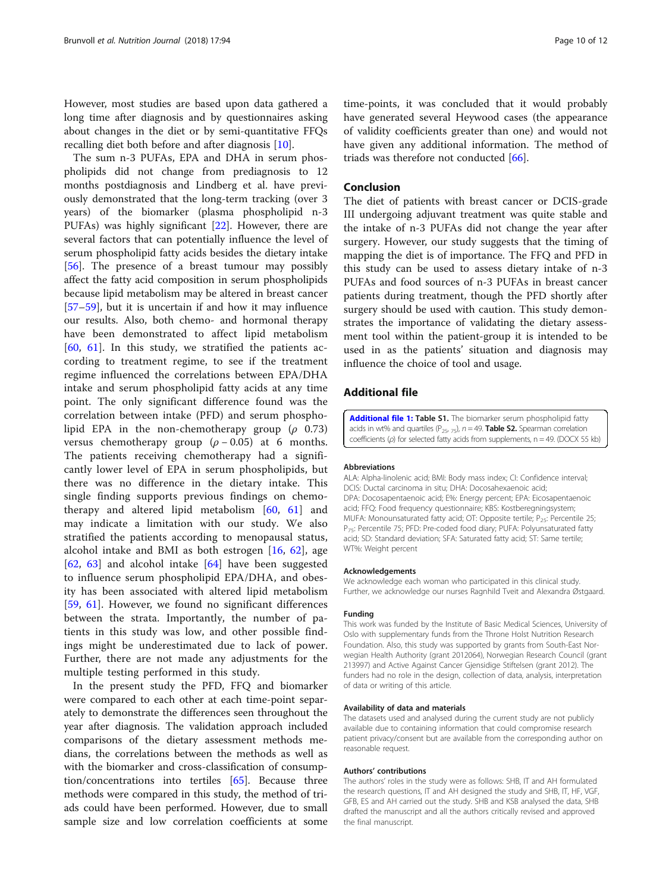<span id="page-9-0"></span>However, most studies are based upon data gathered a long time after diagnosis and by questionnaires asking about changes in the diet or by semi-quantitative FFQs recalling diet both before and after diagnosis [[10\]](#page-10-0).

The sum n-3 PUFAs, EPA and DHA in serum phospholipids did not change from prediagnosis to 12 months postdiagnosis and Lindberg et al. have previously demonstrated that the long-term tracking (over 3 years) of the biomarker (plasma phospholipid n-3 PUFAs) was highly significant [[22\]](#page-10-0). However, there are several factors that can potentially influence the level of serum phospholipid fatty acids besides the dietary intake [[56\]](#page-11-0). The presence of a breast tumour may possibly affect the fatty acid composition in serum phospholipids because lipid metabolism may be altered in breast cancer [[57](#page-11-0)–[59](#page-11-0)], but it is uncertain if and how it may influence our results. Also, both chemo- and hormonal therapy have been demonstrated to affect lipid metabolism  $[60, 61]$  $[60, 61]$  $[60, 61]$  $[60, 61]$  $[60, 61]$ . In this study, we stratified the patients according to treatment regime, to see if the treatment regime influenced the correlations between EPA/DHA intake and serum phospholipid fatty acids at any time point. The only significant difference found was the correlation between intake (PFD) and serum phospholipid EPA in the non-chemotherapy group  $(\rho \ 0.73)$ versus chemotherapy group ( $\rho - 0.05$ ) at 6 months. The patients receiving chemotherapy had a significantly lower level of EPA in serum phospholipids, but there was no difference in the dietary intake. This single finding supports previous findings on chemotherapy and altered lipid metabolism [\[60](#page-11-0), [61](#page-11-0)] and may indicate a limitation with our study. We also stratified the patients according to menopausal status, alcohol intake and BMI as both estrogen [[16,](#page-10-0) [62](#page-11-0)], age  $[62, 63]$  $[62, 63]$  $[62, 63]$  $[62, 63]$  $[62, 63]$  and alcohol intake  $[64]$  $[64]$  have been suggested to influence serum phospholipid EPA/DHA, and obesity has been associated with altered lipid metabolism [[59,](#page-11-0) [61](#page-11-0)]. However, we found no significant differences between the strata. Importantly, the number of patients in this study was low, and other possible findings might be underestimated due to lack of power. Further, there are not made any adjustments for the multiple testing performed in this study.

In the present study the PFD, FFQ and biomarker were compared to each other at each time-point separately to demonstrate the differences seen throughout the year after diagnosis. The validation approach included comparisons of the dietary assessment methods medians, the correlations between the methods as well as with the biomarker and cross-classification of consumption/concentrations into tertiles [[65\]](#page-11-0). Because three methods were compared in this study, the method of triads could have been performed. However, due to small sample size and low correlation coefficients at some

time-points, it was concluded that it would probably have generated several Heywood cases (the appearance of validity coefficients greater than one) and would not have given any additional information. The method of triads was therefore not conducted [[66\]](#page-11-0).

# Conclusion

The diet of patients with breast cancer or DCIS-grade III undergoing adjuvant treatment was quite stable and the intake of n-3 PUFAs did not change the year after surgery. However, our study suggests that the timing of mapping the diet is of importance. The FFQ and PFD in this study can be used to assess dietary intake of n-3 PUFAs and food sources of n-3 PUFAs in breast cancer patients during treatment, though the PFD shortly after surgery should be used with caution. This study demonstrates the importance of validating the dietary assessment tool within the patient-group it is intended to be used in as the patients' situation and diagnosis may influence the choice of tool and usage.

# Additional file

[Additional file 1:](https://doi.org/10.1186/s12937-018-0402-6) Table S1. The biomarker serum phospholipid fatty acids in wt% and quartiles ( $P_{25'}$  75), n = 49. Table S2. Spearman correlation coefficients (ρ) for selected fatty acids from supplements, n = 49. (DOCX 55 kb)

#### Abbreviations

ALA: Alpha-linolenic acid; BMI: Body mass index; CI: Confidence interval; DCIS: Ductal carcinoma in situ; DHA: Docosahexaenoic acid; DPA: Docosapentaenoic acid; E%: Energy percent; EPA: Eicosapentaenoic acid; FFQ: Food frequency questionnaire; KBS: Kostberegningsystem; MUFA: Monounsaturated fatty acid; OT: Opposite tertile; P<sub>25</sub>: Percentile 25; P<sub>75</sub>: Percentile 75; PFD: Pre-coded food diary; PUFA: Polyunsaturated fatty acid; SD: Standard deviation; SFA: Saturated fatty acid; ST: Same tertile; WT%: Weight percent

#### Acknowledgements

We acknowledge each woman who participated in this clinical study. Further, we acknowledge our nurses Ragnhild Tveit and Alexandra Østgaard.

#### Funding

This work was funded by the Institute of Basic Medical Sciences, University of Oslo with supplementary funds from the Throne Holst Nutrition Research Foundation. Also, this study was supported by grants from South-East Norwegian Health Authority (grant 2012064), Norwegian Research Council (grant 213997) and Active Against Cancer Gjensidige Stiftelsen (grant 2012). The funders had no role in the design, collection of data, analysis, interpretation of data or writing of this article.

#### Availability of data and materials

The datasets used and analysed during the current study are not publicly available due to containing information that could compromise research patient privacy/consent but are available from the corresponding author on reasonable request.

#### Authors' contributions

The authors' roles in the study were as follows: SHB, IT and AH formulated the research questions, IT and AH designed the study and SHB, IT, HF, VGF, GFB, ES and AH carried out the study. SHB and KSB analysed the data, SHB drafted the manuscript and all the authors critically revised and approved the final manuscript.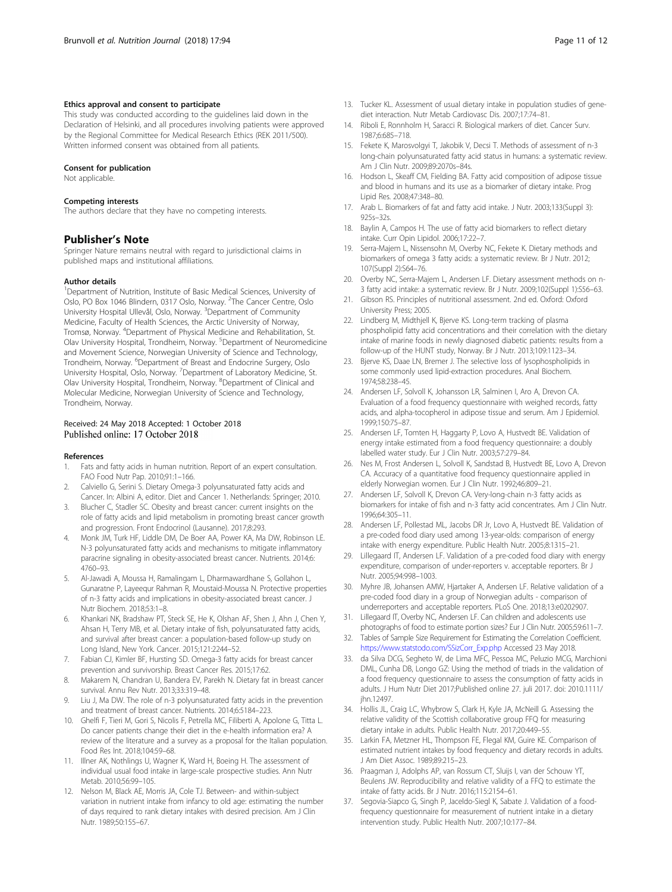#### <span id="page-10-0"></span>Ethics approval and consent to participate

This study was conducted according to the guidelines laid down in the Declaration of Helsinki, and all procedures involving patients were approved by the Regional Committee for Medical Research Ethics (REK 2011/500). Written informed consent was obtained from all patients.

#### Consent for publication

Not applicable.

#### Competing interests

The authors declare that they have no competing interests.

#### Publisher's Note

Springer Nature remains neutral with regard to jurisdictional claims in published maps and institutional affiliations.

#### Author details

<sup>1</sup>Department of Nutrition, Institute of Basic Medical Sciences, University of Oslo, PO Box 1046 Blindern, 0317 Oslo, Norway. <sup>2</sup>The Cancer Centre, Oslo University Hospital Ullevål, Oslo, Norway. <sup>3</sup>Department of Community Medicine, Faculty of Health Sciences, the Arctic University of Norway, Tromsø, Norway. <sup>4</sup> Department of Physical Medicine and Rehabilitation, St. Olav University Hospital, Trondheim, Norway. <sup>5</sup>Department of Neuromedicine and Movement Science, Norwegian University of Science and Technology, Trondheim, Norway. <sup>6</sup>Department of Breast and Endocrine Surgery, Oslo University Hospital, Oslo, Norway. <sup>7</sup> Department of Laboratory Medicine, St. Olav University Hospital, Trondheim, Norway. <sup>8</sup>Department of Clinical and Molecular Medicine, Norwegian University of Science and Technology, Trondheim, Norway.

# Received: 24 May 2018 Accepted: 1 October 2018 Published online: 17 October 2018

#### References

- 1. Fats and fatty acids in human nutrition. Report of an expert consultation. FAO Food Nutr Pap. 2010;91:1–166.
- 2. Calviello G, Serini S. Dietary Omega-3 polyunsaturated fatty acids and Cancer. In: Albini A, editor. Diet and Cancer 1. Netherlands: Springer; 2010.
- 3. Blucher C, Stadler SC. Obesity and breast cancer: current insights on the role of fatty acids and lipid metabolism in promoting breast cancer growth and progression. Front Endocrinol (Lausanne). 2017;8:293.
- 4. Monk JM, Turk HF, Liddle DM, De Boer AA, Power KA, Ma DW, Robinson LE. N-3 polyunsaturated fatty acids and mechanisms to mitigate inflammatory paracrine signaling in obesity-associated breast cancer. Nutrients. 2014;6: 4760–93.
- 5. Al-Jawadi A, Moussa H, Ramalingam L, Dharmawardhane S, Gollahon L, Gunaratne P, Layeequr Rahman R, Moustaid-Moussa N. Protective properties of n-3 fatty acids and implications in obesity-associated breast cancer. J Nutr Biochem. 2018;53:1–8.
- 6. Khankari NK, Bradshaw PT, Steck SE, He K, Olshan AF, Shen J, Ahn J, Chen Y, Ahsan H, Terry MB, et al. Dietary intake of fish, polyunsaturated fatty acids, and survival after breast cancer: a population-based follow-up study on Long Island, New York. Cancer. 2015;121:2244–52.
- 7. Fabian CJ, Kimler BF, Hursting SD. Omega-3 fatty acids for breast cancer prevention and survivorship. Breast Cancer Res. 2015;17:62.
- 8. Makarem N, Chandran U, Bandera EV, Parekh N. Dietary fat in breast cancer survival. Annu Rev Nutr. 2013;33:319–48.
- 9. Liu J, Ma DW. The role of n-3 polyunsaturated fatty acids in the prevention and treatment of breast cancer. Nutrients. 2014;6:5184–223.
- 10. Ghelfi F, Tieri M, Gori S, Nicolis F, Petrella MC, Filiberti A, Apolone G, Titta L. Do cancer patients change their diet in the e-health information era? A review of the literature and a survey as a proposal for the Italian population. Food Res Int. 2018;104:59–68.
- 11. Illner AK, Nothlings U, Wagner K, Ward H, Boeing H. The assessment of individual usual food intake in large-scale prospective studies. Ann Nutr Metab. 2010;56:99–105.
- 12. Nelson M, Black AE, Morris JA, Cole TJ. Between- and within-subject variation in nutrient intake from infancy to old age: estimating the number of days required to rank dietary intakes with desired precision. Am J Clin Nutr. 1989;50:155–67.
- 13. Tucker KL. Assessment of usual dietary intake in population studies of genediet interaction. Nutr Metab Cardiovasc Dis. 2007;17:74–81.
- 14. Riboli E, Ronnholm H, Saracci R. Biological markers of diet. Cancer Surv. 1987;6:685–718.
- 15. Fekete K, Marosvolgyi T, Jakobik V, Decsi T. Methods of assessment of n-3 long-chain polyunsaturated fatty acid status in humans: a systematic review. Am J Clin Nutr. 2009;89:2070s–84s.
- 16. Hodson L, Skeaff CM, Fielding BA. Fatty acid composition of adipose tissue and blood in humans and its use as a biomarker of dietary intake. Prog Lipid Res. 2008;47:348–80.
- 17. Arab L. Biomarkers of fat and fatty acid intake. J Nutr. 2003;133(Suppl 3): 925s–32s.
- 18. Baylin A, Campos H. The use of fatty acid biomarkers to reflect dietary intake. Curr Opin Lipidol. 2006;17:22–7.
- 19. Serra-Majem L, Nissensohn M, Overby NC, Fekete K. Dietary methods and biomarkers of omega 3 fatty acids: a systematic review. Br J Nutr. 2012; 107(Suppl 2):S64–76.
- 20. Overby NC, Serra-Majem L, Andersen LF. Dietary assessment methods on n-3 fatty acid intake: a systematic review. Br J Nutr. 2009;102(Suppl 1):S56–63.
- 21. Gibson RS. Principles of nutritional assessment. 2nd ed. Oxford: Oxford University Press; 2005.
- 22. Lindberg M, Midthjell K, Bjerve KS. Long-term tracking of plasma phospholipid fatty acid concentrations and their correlation with the dietary intake of marine foods in newly diagnosed diabetic patients: results from a follow-up of the HUNT study, Norway. Br J Nutr. 2013;109:1123–34.
- 23. Bjerve KS, Daae LN, Bremer J. The selective loss of lysophospholipids in some commonly used lipid-extraction procedures. Anal Biochem. 1974;58:238–45.
- 24. Andersen LF, Solvoll K, Johansson LR, Salminen I, Aro A, Drevon CA. Evaluation of a food frequency questionnaire with weighed records, fatty acids, and alpha-tocopherol in adipose tissue and serum. Am J Epidemiol. 1999;150:75–87.
- 25. Andersen LF, Tomten H, Haggarty P, Lovo A, Hustvedt BE. Validation of energy intake estimated from a food frequency questionnaire: a doubly labelled water study. Eur J Clin Nutr. 2003;57:279–84.
- 26. Nes M, Frost Andersen L, Solvoll K, Sandstad B, Hustvedt BE, Lovo A, Drevon CA. Accuracy of a quantitative food frequency questionnaire applied in elderly Norwegian women. Eur J Clin Nutr. 1992;46:809–21.
- 27. Andersen LF, Solvoll K, Drevon CA. Very-long-chain n-3 fatty acids as biomarkers for intake of fish and n-3 fatty acid concentrates. Am J Clin Nutr. 1996;64:305–11.
- 28. Andersen LF, Pollestad ML, Jacobs DR Jr, Lovo A, Hustvedt BE. Validation of a pre-coded food diary used among 13-year-olds: comparison of energy intake with energy expenditure. Public Health Nutr. 2005;8:1315–21.
- 29. Lillegaard IT, Andersen LF. Validation of a pre-coded food diary with energy expenditure, comparison of under-reporters v. acceptable reporters. Br J Nutr. 2005;94:998–1003.
- 30. Myhre JB, Johansen AMW, Hjartaker A, Andersen LF. Relative validation of a pre-coded food diary in a group of Norwegian adults - comparison of underreporters and acceptable reporters. PLoS One. 2018;13:e0202907.
- 31. Lillegaard IT, Overby NC, Andersen LF. Can children and adolescents use photographs of food to estimate portion sizes? Eur J Clin Nutr. 2005;59:611–7.
- 32. Tables of Sample Size Requirement for Estimating the Correlation Coefficient. [https://www.statstodo.com/SSizCorr\\_Exp.php](https://www.statstodo.com/SSizCorr_Exp.php) Accessed 23 May 2018.
- 33. da Silva DCG, Segheto W, de Lima MFC, Pessoa MC, Peluzio MCG, Marchioni DML, Cunha DB, Longo GZ: Using the method of triads in the validation of a food frequency questionnaire to assess the consumption of fatty acids in adults. J Hum Nutr Diet 2017;Published online 27. juli 2017. doi: 2010.1111/ jhn.12497.
- 34. Hollis JL, Craig LC, Whybrow S, Clark H, Kyle JA, McNeill G. Assessing the relative validity of the Scottish collaborative group FFQ for measuring dietary intake in adults. Public Health Nutr. 2017;20:449–55.
- 35. Larkin FA, Metzner HL, Thompson FE, Flegal KM, Guire KE. Comparison of estimated nutrient intakes by food frequency and dietary records in adults. J Am Diet Assoc. 1989;89:215–23.
- 36. Praagman J, Adolphs AP, van Rossum CT, Sluijs I, van der Schouw YT, Beulens JW. Reproducibility and relative validity of a FFQ to estimate the intake of fatty acids. Br J Nutr. 2016;115:2154–61.
- 37. Segovia-Siapco G, Singh P, Jaceldo-Siegl K, Sabate J. Validation of a foodfrequency questionnaire for measurement of nutrient intake in a dietary intervention study. Public Health Nutr. 2007;10:177–84.